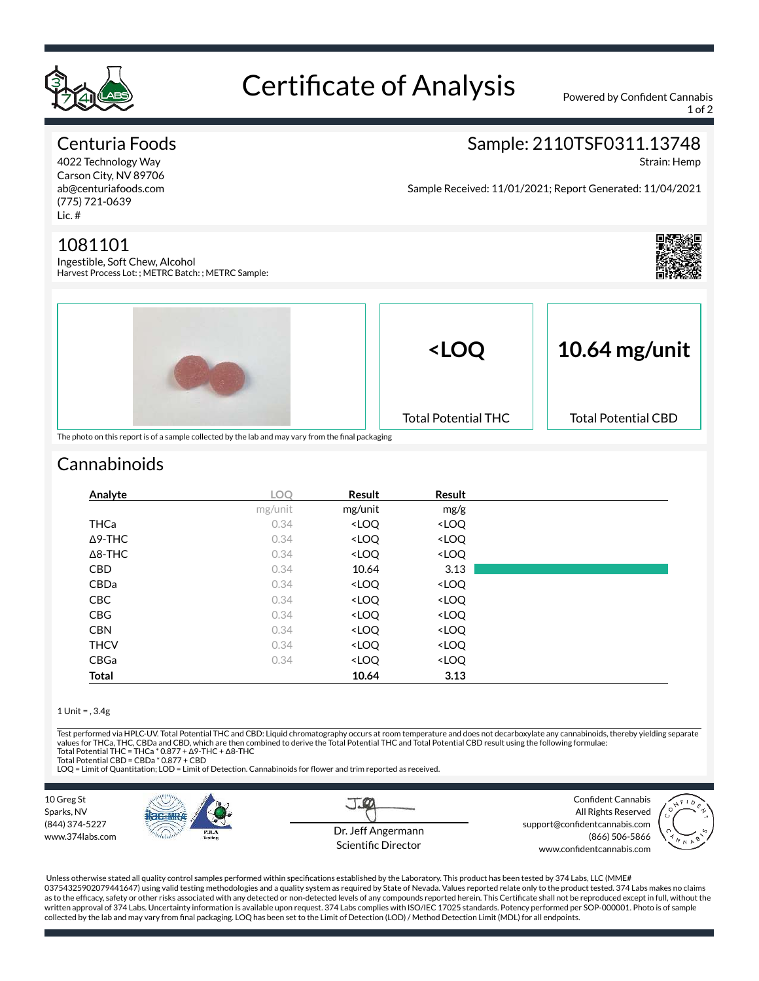

# Certificate of Analysis Powered by Confident Cannabis

1 of 2

#### Centuria Foods

4022 Technology Way Carson City, NV 89706 ab@centuriafoods.com (775) 721-0639 Lic. #

#### 1081101

Ingestible, Soft Chew, Alcohol Harvest Process Lot: ; METRC Batch: ; METRC Sample:



Strain: Hemp

Sample Received: 11/01/2021; Report Generated: 11/04/2021





## **Cannabinoids**

| Analyte        | <b>LOO</b> | Result                                                   | Result                       |  |
|----------------|------------|----------------------------------------------------------|------------------------------|--|
|                | mg/unit    | mg/unit                                                  | mg/g                         |  |
| <b>THCa</b>    | 0.34       | <loq< td=""><td><loq< td=""><td></td></loq<></td></loq<> | <loq< td=""><td></td></loq<> |  |
| $\Delta$ 9-THC | 0.34       | <loq< td=""><td><loq< td=""><td></td></loq<></td></loq<> | <loq< td=""><td></td></loq<> |  |
| $\Delta$ 8-THC | 0.34       | <loq< td=""><td><loq< td=""><td></td></loq<></td></loq<> | <loq< td=""><td></td></loq<> |  |
| <b>CBD</b>     | 0.34       | 10.64                                                    | 3.13                         |  |
| CBDa           | 0.34       | <loq< td=""><td><loq< td=""><td></td></loq<></td></loq<> | <loq< td=""><td></td></loq<> |  |
| <b>CBC</b>     | 0.34       | <loq< td=""><td><loq< td=""><td></td></loq<></td></loq<> | <loq< td=""><td></td></loq<> |  |
| <b>CBG</b>     | 0.34       | <loq< td=""><td><loq< td=""><td></td></loq<></td></loq<> | <loq< td=""><td></td></loq<> |  |
| <b>CBN</b>     | 0.34       | <loq< td=""><td><loq< td=""><td></td></loq<></td></loq<> | <loq< td=""><td></td></loq<> |  |
| <b>THCV</b>    | 0.34       | <loq< td=""><td><loq< td=""><td></td></loq<></td></loq<> | <loq< td=""><td></td></loq<> |  |
| CBGa           | 0.34       | <loq< td=""><td><loq< td=""><td></td></loq<></td></loq<> | <loq< td=""><td></td></loq<> |  |
| Total          |            | 10.64                                                    | 3.13                         |  |

#### 1 Unit = , 3.4g

Test performed via HPLC-UV. Total Potential THC and CBD: Liquid chromatography occurs at room temperature and does not decarboxylate any cannabinoids, thereby yielding separate values for THCa, THC, CBDa and CBD, which are then combined to derive the Total Potential THC and Total Potential CBD result using the following formulae:<br>Total Potential THC = THCa \* 0.877 + Δ9-THC + Δ8-THC

Total Potential CBD = CBDa \* 0.877 + CBD

LOQ = Limit of Quantitation; LOD = Limit of Detection. Cannabinoids for flower and trim reported as received.



Unless otherwise stated all quality control samples performed within specifications established by the Laboratory. This product has been tested by 374 Labs, LLC (MME# 03754325902079441647) using valid testing methodologies and a quality system as required by State of Nevada. Values reported relate only to the product tested. 374 Labs makes no claims as to the efficacy, safety or other risks associated with any detected or non-detected levels of any compounds reported herein. This Certificate shall not be reproduced except in full, without the written approval of 374 Labs. Uncertainty information is available upon request. 374 Labs complies with ISO/IEC 17025 standards. Potency performed per SOP-000001. Photo is of sample collected by the lab and may vary from final packaging. LOQ has been set to the Limit of Detection (LOD) / Method Detection Limit (MDL) for all endpoints.